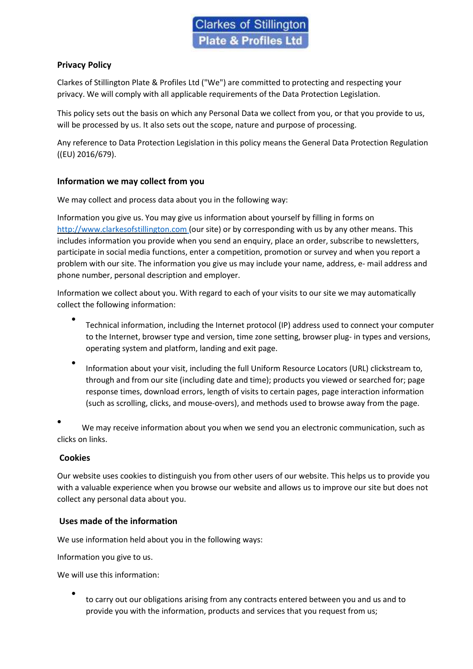# Privacy Policy

Clarkes of Stillington Plate & Profiles Ltd ("We") are committed to protecting and respecting your privacy. We will comply with all applicable requirements of the Data Protection Legislation.

This policy sets out the basis on which any Personal Data we collect from you, or that you provide to us, will be processed by us. It also sets out the scope, nature and purpose of processing.

Any reference to Data Protection Legislation in this policy means the General Data Protection Regulation ((EU) 2016/679).

# Information we may collect from you

We may collect and process data about you in the following way:

Information you give us. You may give us information about yourself by filling in forms on http://www.clarkesofstillington.com (our site) or by corresponding with us by any other means. This includes information you provide when you send an enquiry, place an order, subscribe to newsletters, participate in social media functions, enter a competition, promotion or survey and when you report a problem with our site. The information you give us may include your name, address, e- mail address and phone number, personal description and employer.

Information we collect about you. With regard to each of your visits to our site we may automatically collect the following information:

- $\bullet$ Technical information, including the Internet protocol (IP) address used to connect your computer to the Internet, browser type and version, time zone setting, browser plug- in types and versions, operating system and platform, landing and exit page.
- $\bullet$ Information about your visit, including the full Uniform Resource Locators (URL) clickstream to, through and from our site (including date and time); products you viewed or searched for; page response times, download errors, length of visits to certain pages, page interaction information (such as scrolling, clicks, and mouse-overs), and methods used to browse away from the page.
- We may receive information about you when we send you an electronic communication, such as clicks on links.

# **Cookies**

Our website uses cookies to distinguish you from other users of our website. This helps us to provide you with a valuable experience when you browse our website and allows us to improve our site but does not collect any personal data about you.

# Uses made of the information

We use information held about you in the following ways:

Information you give to us.

We will use this information:

 $\bullet$ to carry out our obligations arising from any contracts entered between you and us and to provide you with the information, products and services that you request from us;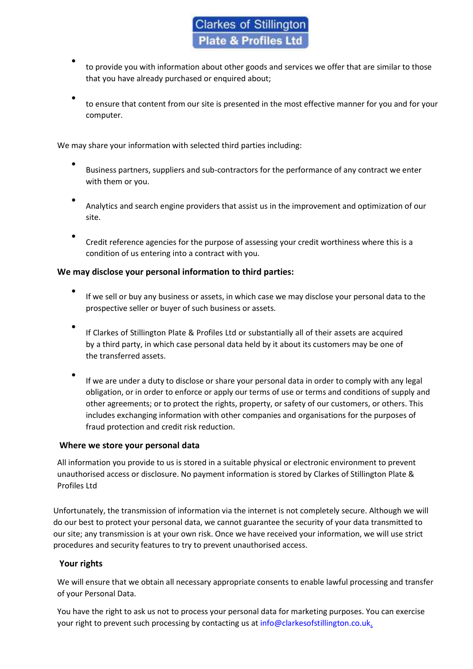- $\bullet$ to provide you with information about other goods and services we offer that are similar to those that you have already purchased or enquired about;
- $\bullet$ to ensure that content from our site is presented in the most effective manner for you and for your computer.

We may share your information with selected third parties including:

- $\bullet$ Business partners, suppliers and sub-contractors for the performance of any contract we enter with them or you.
- $\bullet$ Analytics and search engine providers that assist us in the improvement and optimization of our site.
- $\bullet$ Credit reference agencies for the purpose of assessing your credit worthiness where this is a condition of us entering into a contract with you.

## We may disclose your personal information to third parties:

- $\bullet$ If we sell or buy any business or assets, in which case we may disclose your personal data to the prospective seller or buyer of such business or assets.
- $\bullet$ If Clarkes of Stillington Plate & Profiles Ltd or substantially all of their assets are acquired by a third party, in which case personal data held by it about its customers may be one of the transferred assets.
- $\bullet$ If we are under a duty to disclose or share your personal data in order to comply with any legal obligation, or in order to enforce or apply our terms of use or terms and conditions of supply and other agreements; or to protect the rights, property, or safety of our customers, or others. This includes exchanging information with other companies and organisations for the purposes of fraud protection and credit risk reduction.

#### Where we store your personal data

All information you provide to us is stored in a suitable physical or electronic environment to prevent unauthorised access or disclosure. No payment information is stored by Clarkes of Stillington Plate & Profiles Ltd

Unfortunately, the transmission of information via the internet is not completely secure. Although we will do our best to protect your personal data, we cannot guarantee the security of your data transmitted to our site; any transmission is at your own risk. Once we have received your information, we will use strict procedures and security features to try to prevent unauthorised access.

#### Your rights

We will ensure that we obtain all necessary appropriate consents to enable lawful processing and transfer of your Personal Data.

You have the right to ask us not to process your personal data for marketing purposes. You can exercise your right to prevent such processing by contacting us at info@clarkesofstillington.co.uk.